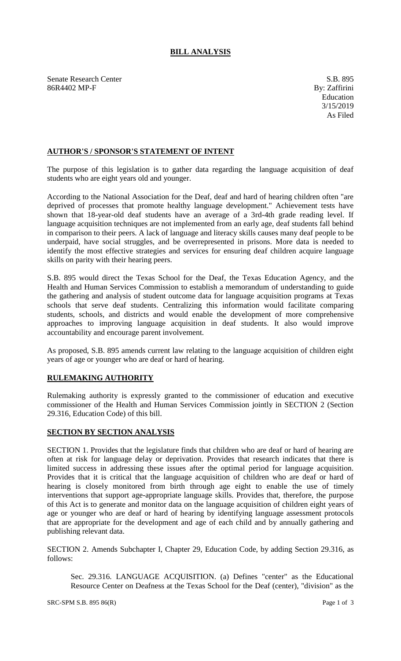## **BILL ANALYSIS**

Senate Research Center S.B. 895 86R4402 MP-F By: Zaffirini

## **AUTHOR'S / SPONSOR'S STATEMENT OF INTENT**

The purpose of this legislation is to gather data regarding the language acquisition of deaf students who are eight years old and younger.

According to the National Association for the Deaf, deaf and hard of hearing children often "are deprived of processes that promote healthy language development." Achievement tests have shown that 18-year-old deaf students have an average of a 3rd-4th grade reading level. If language acquisition techniques are not implemented from an early age, deaf students fall behind in comparison to their peers. A lack of language and literacy skills causes many deaf people to be underpaid, have social struggles, and be overrepresented in prisons. More data is needed to identify the most effective strategies and services for ensuring deaf children acquire language skills on parity with their hearing peers.

S.B. 895 would direct the Texas School for the Deaf, the Texas Education Agency, and the Health and Human Services Commission to establish a memorandum of understanding to guide the gathering and analysis of student outcome data for language acquisition programs at Texas schools that serve deaf students. Centralizing this information would facilitate comparing students, schools, and districts and would enable the development of more comprehensive approaches to improving language acquisition in deaf students. It also would improve accountability and encourage parent involvement.

As proposed, S.B. 895 amends current law relating to the language acquisition of children eight years of age or younger who are deaf or hard of hearing.

## **RULEMAKING AUTHORITY**

Rulemaking authority is expressly granted to the commissioner of education and executive commissioner of the Health and Human Services Commission jointly in SECTION 2 (Section 29.316, Education Code) of this bill.

## **SECTION BY SECTION ANALYSIS**

SECTION 1. Provides that the legislature finds that children who are deaf or hard of hearing are often at risk for language delay or deprivation. Provides that research indicates that there is limited success in addressing these issues after the optimal period for language acquisition. Provides that it is critical that the language acquisition of children who are deaf or hard of hearing is closely monitored from birth through age eight to enable the use of timely interventions that support age-appropriate language skills. Provides that, therefore, the purpose of this Act is to generate and monitor data on the language acquisition of children eight years of age or younger who are deaf or hard of hearing by identifying language assessment protocols that are appropriate for the development and age of each child and by annually gathering and publishing relevant data.

SECTION 2. Amends Subchapter I, Chapter 29, Education Code, by adding Section 29.316, as follows:

Sec. 29.316. LANGUAGE ACQUISITION. (a) Defines "center" as the Educational Resource Center on Deafness at the Texas School for the Deaf (center), "division" as the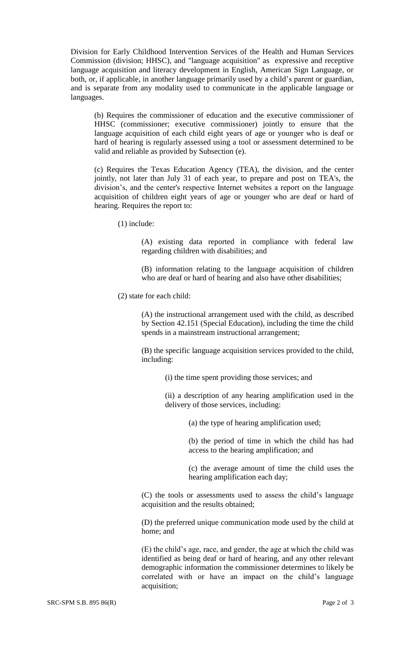Division for Early Childhood Intervention Services of the Health and Human Services Commission (division; HHSC), and "language acquisition" as expressive and receptive language acquisition and literacy development in English, American Sign Language, or both, or, if applicable, in another language primarily used by a child's parent or guardian, and is separate from any modality used to communicate in the applicable language or languages.

(b) Requires the commissioner of education and the executive commissioner of HHSC (commissioner; executive commissioner) jointly to ensure that the language acquisition of each child eight years of age or younger who is deaf or hard of hearing is regularly assessed using a tool or assessment determined to be valid and reliable as provided by Subsection (e).

(c) Requires the Texas Education Agency (TEA), the division, and the center jointly, not later than July 31 of each year, to prepare and post on TEA's, the division's, and the center's respective Internet websites a report on the language acquisition of children eight years of age or younger who are deaf or hard of hearing. Requires the report to:

(1) include:

(A) existing data reported in compliance with federal law regarding children with disabilities; and

(B) information relating to the language acquisition of children who are deaf or hard of hearing and also have other disabilities;

(2) state for each child:

(A) the instructional arrangement used with the child, as described by Section 42.151 (Special Education), including the time the child spends in a mainstream instructional arrangement;

(B) the specific language acquisition services provided to the child, including:

(i) the time spent providing those services; and

(ii) a description of any hearing amplification used in the delivery of those services, including:

(a) the type of hearing amplification used;

(b) the period of time in which the child has had access to the hearing amplification; and

(c) the average amount of time the child uses the hearing amplification each day;

(C) the tools or assessments used to assess the child's language acquisition and the results obtained;

(D) the preferred unique communication mode used by the child at home; and

(E) the child's age, race, and gender, the age at which the child was identified as being deaf or hard of hearing, and any other relevant demographic information the commissioner determines to likely be correlated with or have an impact on the child's language acquisition;